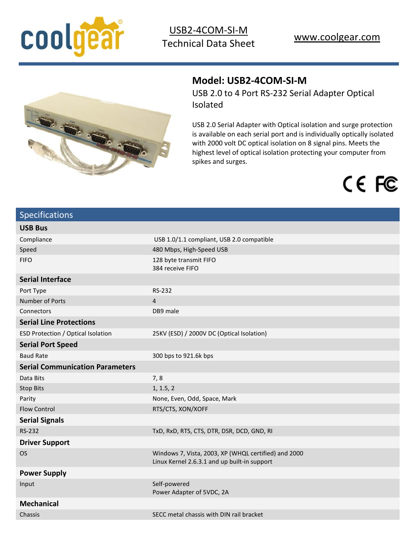



## **Model: USB2-4COM-SI-M**

USB 2.0 to 4 Port RS-232 Serial Adapter Optical Isolated

USB 2.0 Serial Adapter with Optical isolation and surge protection is available on each serial port and is individually optically isolated with 2000 volt DC optical isolation on 8 signal pins. Meets the highest level of optical isolation protecting your computer from spikes and surges.

# CE FC

| <b>Specifications</b>                  |                                                                                                      |
|----------------------------------------|------------------------------------------------------------------------------------------------------|
| <b>USB Bus</b>                         |                                                                                                      |
| Compliance                             | USB 1.0/1.1 compliant, USB 2.0 compatible                                                            |
| Speed                                  | 480 Mbps, High-Speed USB                                                                             |
| <b>FIFO</b>                            | 128 byte transmit FIFO<br>384 receive FIFO                                                           |
| <b>Serial Interface</b>                |                                                                                                      |
| Port Type                              | RS-232                                                                                               |
| Number of Ports                        | $\overline{4}$                                                                                       |
| Connectors                             | DB9 male                                                                                             |
| <b>Serial Line Protections</b>         |                                                                                                      |
| ESD Protection / Optical Isolation     | 25KV (ESD) / 2000V DC (Optical Isolation)                                                            |
| <b>Serial Port Speed</b>               |                                                                                                      |
| <b>Baud Rate</b>                       | 300 bps to 921.6k bps                                                                                |
| <b>Serial Communication Parameters</b> |                                                                                                      |
| Data Bits                              | 7,8                                                                                                  |
| <b>Stop Bits</b>                       | 1, 1.5, 2                                                                                            |
| Parity                                 | None, Even, Odd, Space, Mark                                                                         |
| <b>Flow Control</b>                    | RTS/CTS, XON/XOFF                                                                                    |
| <b>Serial Signals</b>                  |                                                                                                      |
| <b>RS-232</b>                          | TxD, RxD, RTS, CTS, DTR, DSR, DCD, GND, RI                                                           |
| <b>Driver Support</b>                  |                                                                                                      |
| <b>OS</b>                              | Windows 7, Vista, 2003, XP (WHQL certified) and 2000<br>Linux Kernel 2.6.3.1 and up built-in support |
| <b>Power Supply</b>                    |                                                                                                      |
| Input                                  | Self-powered<br>Power Adapter of 5VDC, 2A                                                            |
| <b>Mechanical</b>                      |                                                                                                      |
| Chassis                                | SECC metal chassis with DIN rail bracket                                                             |
|                                        |                                                                                                      |